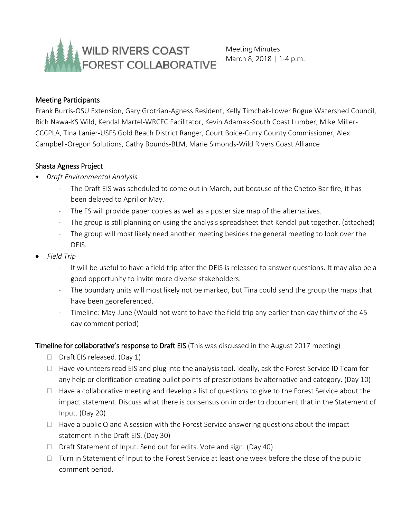

Meeting Minutes March 8, 2018 | 1-4 p.m.

#### Meeting Participants

Frank Burris-OSU Extension, Gary Grotrian-Agness Resident, Kelly Timchak-Lower Rogue Watershed Council, Rich Nawa-KS Wild, Kendal Martel-WRCFC Facilitator, Kevin Adamak-South Coast Lumber, Mike Miller-CCCPLA, Tina Lanier-USFS Gold Beach District Ranger, Court Boice-Curry County Commissioner, Alex Campbell-Oregon Solutions, Cathy Bounds-BLM, Marie Simonds-Wild Rivers Coast Alliance

#### Shasta Agness Project

- *Draft Environmental Analysis*
	- The Draft EIS was scheduled to come out in March, but because of the Chetco Bar fire, it has been delayed to April or May.
	- The FS will provide paper copies as well as a poster size map of the alternatives.
	- The group is still planning on using the analysis spreadsheet that Kendal put together. (attached)
	- The group will most likely need another meeting besides the general meeting to look over the DEIS.
- *Field Trip*
	- $\cdot$  It will be useful to have a field trip after the DEIS is released to answer questions. It may also be a good opportunity to invite more diverse stakeholders.
	- The boundary units will most likely not be marked, but Tina could send the group the maps that have been georeferenced.
	- Timeline: May-June (Would not want to have the field trip any earlier than day thirty of the 45 day comment period)

### Timeline for collaborative's response to Draft EIS (This was discussed in the August 2017 meeting)

- $\Box$  Draft EIS released. (Day 1)
- $\Box$  Have volunteers read EIS and plug into the analysis tool. Ideally, ask the Forest Service ID Team for any help or clarification creating bullet points of prescriptions by alternative and category. (Day 10)
- $\Box$  Have a collaborative meeting and develop a list of questions to give to the Forest Service about the impact statement. Discuss what there is consensus on in order to document that in the Statement of Input. (Day 20)
- $\Box$  Have a public Q and A session with the Forest Service answering questions about the impact statement in the Draft EIS. (Day 30)
- $\Box$  Draft Statement of Input. Send out for edits. Vote and sign. (Day 40)
- $\Box$  Turn in Statement of Input to the Forest Service at least one week before the close of the public comment period.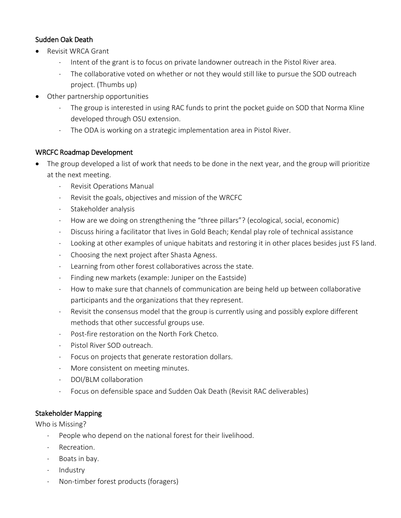## Sudden Oak Death

- Revisit WRCA Grant
	- $\cdot$  Intent of the grant is to focus on private landowner outreach in the Pistol River area.
	- The collaborative voted on whether or not they would still like to pursue the SOD outreach project. (Thumbs up)
- Other partnership opportunities
	- The group is interested in using RAC funds to print the pocket guide on SOD that Norma Kline developed through OSU extension.
	- The ODA is working on a strategic implementation area in Pistol River.

### WRCFC Roadmap Development

- The group developed a list of work that needs to be done in the next year, and the group will prioritize at the next meeting.
	- . Revisit Operations Manual
	- Revisit the goals, objectives and mission of the WRCFC
	- Stakeholder analysis
	- How are we doing on strengthening the "three pillars"? (ecological, social, economic)
	- Discuss hiring a facilitator that lives in Gold Beach; Kendal play role of technical assistance
	- Looking at other examples of unique habitats and restoring it in other places besides just FS land.
	- Choosing the next project after Shasta Agness.
	- Learning from other forest collaboratives across the state.
	- $\cdot$  Finding new markets (example: Juniper on the Eastside)
	- How to make sure that channels of communication are being held up between collaborative participants and the organizations that they represent.
	- Revisit the consensus model that the group is currently using and possibly explore different methods that other successful groups use.
	- Post-fire restoration on the North Fork Chetco.
	- Pistol River SOD outreach.
	- Focus on projects that generate restoration dollars.
	- More consistent on meeting minutes.
	- DOI/BLM collaboration
	- Focus on defensible space and Sudden Oak Death (Revisit RAC deliverables)

# Stakeholder Mapping

Who is Missing?

- People who depend on the national forest for their livelihood.
- · Recreation.
- $\cdot$  Boats in bay.
- · Industry
- Non-timber forest products (foragers)